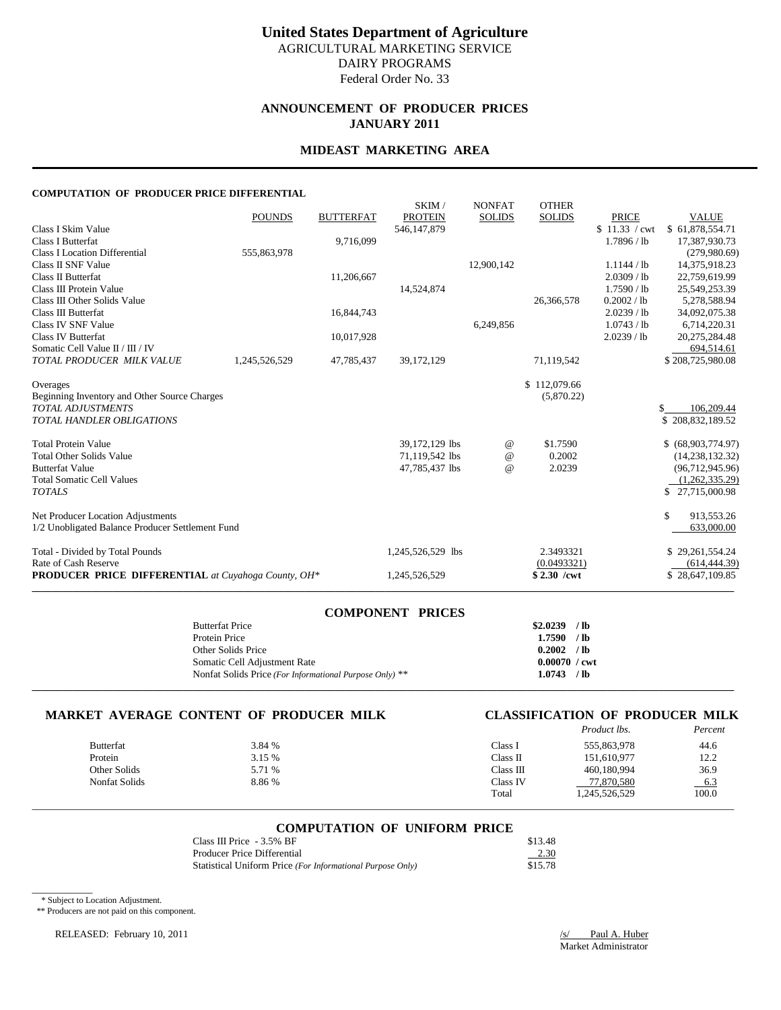# **ANNOUNCEMENT OF PRODUCER PRICES JANUARY 2011**

### **MIDEAST MARKETING AREA**

#### **COMPUTATION OF PRODUCER PRICE DIFFERENTIAL**

| <b>PRODUCER PRICE DIFFERENTIAL</b> at Cuyahoga County, OH*                              |               |                  | 1,245,526,529                                      |                                | $$2.30$ /cwt                  |                                           | \$28,647,109.85                                            |
|-----------------------------------------------------------------------------------------|---------------|------------------|----------------------------------------------------|--------------------------------|-------------------------------|-------------------------------------------|------------------------------------------------------------|
| Total - Divided by Total Pounds<br>Rate of Cash Reserve                                 |               |                  | 1,245,526,529 lbs                                  |                                | 2.3493321<br>(0.0493321)      |                                           | \$29,261,554.24<br>(614, 444.39)                           |
| Net Producer Location Adjustments<br>1/2 Unobligated Balance Producer Settlement Fund   |               |                  |                                                    |                                |                               |                                           | \$<br>913,553.26<br>633,000.00                             |
| <b>Total Somatic Cell Values</b><br><b>TOTALS</b>                                       |               |                  |                                                    |                                |                               |                                           | (1,262,335.29)<br>\$27,715,000.98                          |
| <b>Total Protein Value</b><br><b>Total Other Solids Value</b><br><b>Butterfat Value</b> |               |                  | 39,172,129 lbs<br>71,119,542 lbs<br>47,785,437 lbs | @<br>$\omega$<br>@             | \$1.7590<br>0.2002<br>2.0239  |                                           | \$ (68,903,774.97)<br>(14, 238, 132.32)<br>(96,712,945.96) |
| <b>TOTAL ADJUSTMENTS</b><br><b>TOTAL HANDLER OBLIGATIONS</b>                            |               |                  |                                                    |                                |                               |                                           | 106.209.44<br>\$<br>\$208,832,189.52                       |
| Overages<br>Beginning Inventory and Other Source Charges                                |               |                  |                                                    |                                | \$112,079.66<br>(5,870.22)    |                                           |                                                            |
| Somatic Cell Value II / III / IV<br>TOTAL PRODUCER MILK VALUE                           | 1,245,526,529 | 47,785,437       | 39, 172, 129                                       |                                | 71,119,542                    |                                           | 694,514.61<br>\$208,725,980.08                             |
| Class IV SNF Value<br>Class IV Butterfat                                                |               | 10,017,928       |                                                    | 6,249,856                      |                               | 1.0743 / lb<br>2.0239 / lb                | 6,714,220.31<br>20,275,284.48                              |
| Class III Other Solids Value<br>Class III Butterfat                                     |               | 16,844,743       | 14,524,874                                         |                                | 26,366,578                    | 0.2002 / lb<br>2.0239 / lb                | 25,549,253.39<br>5,278,588.94<br>34,092,075.38             |
| Class II SNF Value<br>Class II Butterfat<br>Class III Protein Value                     | 555,863,978   | 11,206,667       |                                                    | 12,900,142                     |                               | 1.1144 / lb<br>2.0309 / lb<br>1.7590 / lb | (279,980.69)<br>14,375,918.23<br>22,759,619.99             |
| Class I Skim Value<br><b>Class I Butterfat</b><br><b>Class I Location Differential</b>  |               | 9,716,099        | 546,147,879                                        |                                |                               | \$11.33 / cwt<br>1.7896 / lb              | \$61,878,554.71<br>17,387,930.73                           |
|                                                                                         | <b>POUNDS</b> | <b>BUTTERFAT</b> | SKIM/<br><b>PROTEIN</b>                            | <b>NONFAT</b><br><b>SOLIDS</b> | <b>OTHER</b><br><b>SOLIDS</b> | <b>PRICE</b>                              | <b>VALUE</b>                                               |

| <b>COMPONENT PRICES</b>                                 |                        |  |
|---------------------------------------------------------|------------------------|--|
| <b>Butterfat Price</b>                                  | $$2.0239$ /lb          |  |
| Protein Price                                           | $1.7590$ /lb           |  |
| Other Solids Price                                      | $0.2002$ /lb           |  |
| Somatic Cell Adjustment Rate                            | $0.00070 / \text{cwt}$ |  |
| Nonfat Solids Price (For Informational Purpose Only) ** | $1.0743$ /lb           |  |
|                                                         |                        |  |

# **MARKET AVERAGE CONTENT OF PRODUCER MILK CLASSIFICATION OF PRODUCER MILK**

# *Product lbs.*

|                  |        |           |                   | 1 <u>.</u> |
|------------------|--------|-----------|-------------------|------------|
| <b>Butterfat</b> | 3.84 % | Class 1   | 555,863,978       | 44.6       |
| Protein          | 3.15 % | Class II  | 151,610,977       | 12.2       |
| Other Solids     | 5.71 % | Class III | 460,180,994       | 36.9       |
| Nonfat Solids    | 8.86%  | Class IV  | 77,870,580        | $-6.3$     |
|                  |        | Total     | 45,526,529. 1.245 | 100.0      |
|                  |        |           |                   |            |

#### **COMPUTATION OF UNIFORM PRICE**

\_\_\_\_\_\_\_\_\_\_\_\_\_\_\_\_\_\_\_\_\_\_\_\_\_\_\_\_\_\_\_\_\_\_\_\_\_\_\_\_\_\_\_\_\_\_\_\_\_\_\_\_\_\_\_\_\_\_\_\_\_\_\_\_\_\_\_\_\_\_\_\_\_\_\_\_\_\_\_\_\_\_\_\_\_\_\_\_\_\_\_\_\_\_\_\_\_\_\_\_\_\_\_\_\_\_\_\_\_\_\_\_\_\_\_\_\_\_\_\_\_\_\_\_\_\_\_\_\_\_\_\_\_\_\_\_\_\_\_

| Class III Price $-3.5\%$ BF                                | \$13.48 |
|------------------------------------------------------------|---------|
| Producer Price Differential                                | 2.30    |
| Statistical Uniform Price (For Informational Purpose Only) | \$15.78 |

\* Subject to Location Adjustment.

\_\_\_\_\_\_\_\_\_\_\_\_

\*\* Producers are not paid on this component.

RELEASED: February 10, 2011 1 2011 1 2012 1 2013 1 2014 1 2014 1 2014 1 2015 1 2016 1 2016 1 2016 1 2016 1 201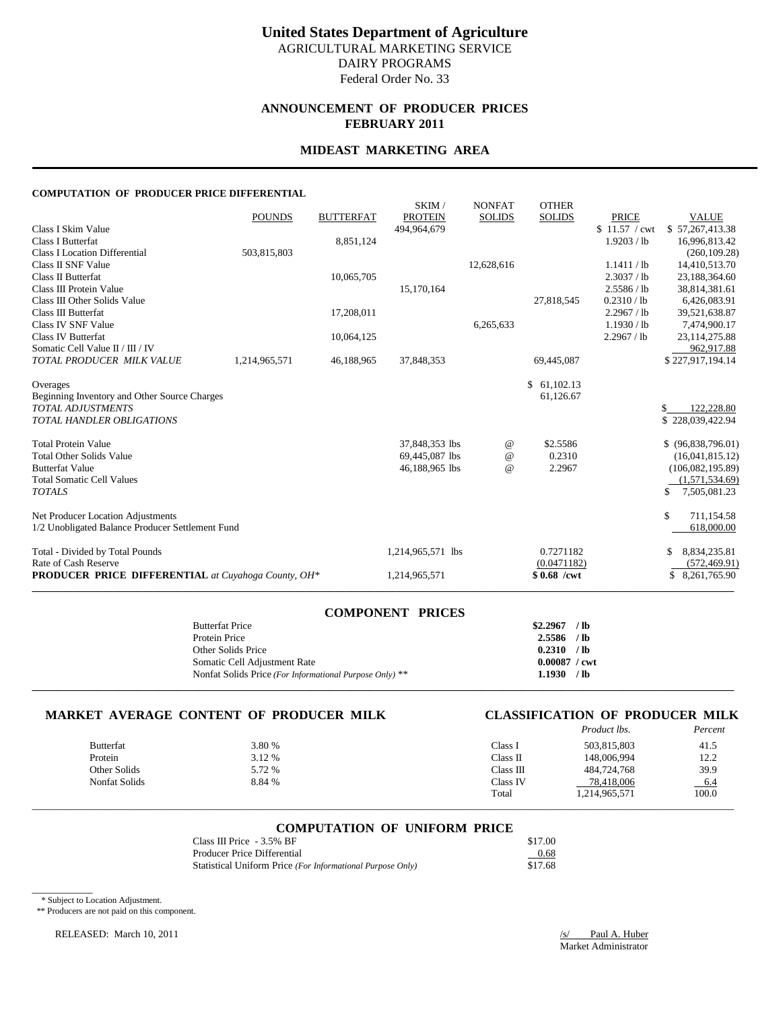## **ANNOUNCEMENT OF PRODUCER PRICES FEBRUARY 2011**

### **MIDEAST MARKETING AREA**

#### **COMPUTATION OF PRODUCER PRICE DIFFERENTIAL**

|                                                            | <b>POUNDS</b> | <b>BUTTERFAT</b> | SKIM/<br><b>PROTEIN</b> | <b>NONFAT</b><br><b>SOLIDS</b> | <b>OTHER</b><br><b>SOLIDS</b> | <b>PRICE</b>  | <b>VALUE</b>        |
|------------------------------------------------------------|---------------|------------------|-------------------------|--------------------------------|-------------------------------|---------------|---------------------|
| Class I Skim Value                                         |               |                  | 494,964,679             |                                |                               | \$11.57 / cwt | \$57,267,413.38     |
| Class I Butterfat                                          |               | 8,851,124        |                         |                                |                               | 1.9203 / lb   | 16,996,813.42       |
| <b>Class I Location Differential</b>                       | 503,815,803   |                  |                         |                                |                               |               | (260, 109.28)       |
| Class II SNF Value                                         |               |                  |                         | 12,628,616                     |                               | 1.1411 / lb   | 14,410,513.70       |
| Class II Butterfat                                         |               | 10,065,705       |                         |                                |                               | 2.3037 / lb   | 23,188,364.60       |
| Class III Protein Value                                    |               |                  | 15,170,164              |                                |                               | 2.5586 / lb   | 38,814,381.61       |
| Class III Other Solids Value                               |               |                  |                         |                                | 27.818.545                    | 0.2310 / lb   | 6,426,083.91        |
| Class III Butterfat                                        |               | 17,208,011       |                         |                                |                               | 2.2967 / lb   | 39,521,638.87       |
| Class IV SNF Value                                         |               |                  |                         | 6,265,633                      |                               | 1.1930 / lb   | 7,474,900.17        |
| <b>Class IV Butterfat</b>                                  |               | 10,064,125       |                         |                                |                               | 2.2967 / lb   | 23, 114, 275.88     |
| Somatic Cell Value II / III / IV                           |               |                  |                         |                                |                               |               | 962,917.88          |
| TOTAL PRODUCER MILK VALUE                                  | 1,214,965,571 | 46,188,965       | 37,848,353              |                                | 69,445,087                    |               | \$227,917,194.14    |
| Overages                                                   |               |                  |                         |                                | \$61,102.13                   |               |                     |
| Beginning Inventory and Other Source Charges               |               |                  |                         |                                | 61,126.67                     |               |                     |
| <b>TOTAL ADJUSTMENTS</b>                                   |               |                  |                         |                                |                               |               | 122,228.80<br>S.    |
| <b>TOTAL HANDLER OBLIGATIONS</b>                           |               |                  |                         |                                |                               |               | \$228,039,422.94    |
| <b>Total Protein Value</b>                                 |               |                  | 37,848,353 lbs          | $^{\copyright}$                | \$2.5586                      |               | $$$ (96,838,796.01) |
| <b>Total Other Solids Value</b>                            |               |                  | 69,445,087 lbs          | $\omega$                       | 0.2310                        |               | (16,041,815.12)     |
| <b>Butterfat Value</b>                                     |               |                  | 46,188,965 lbs          | $\omega$                       | 2.2967                        |               | (106,082,195.89)    |
| <b>Total Somatic Cell Values</b>                           |               |                  |                         |                                |                               |               | (1,571,534.69)      |
| <b>TOTALS</b>                                              |               |                  |                         |                                |                               |               | 7,505,081.23<br>\$  |
| Net Producer Location Adjustments                          |               |                  |                         |                                |                               |               | \$<br>711,154.58    |
| 1/2 Unobligated Balance Producer Settlement Fund           |               |                  |                         |                                |                               |               | 618,000.00          |
| Total - Divided by Total Pounds                            |               |                  | 1,214,965,571 lbs       |                                | 0.7271182                     |               | 8,834,235.81<br>\$  |
| Rate of Cash Reserve                                       |               |                  |                         |                                | (0.0471182)                   |               | (572, 469.91)       |
| <b>PRODUCER PRICE DIFFERENTIAL</b> at Cuyahoga County, OH* |               |                  | 1,214,965,571           |                                | $$0.68$ /cwt                  |               | \$ 8,261,765.90     |

| <b>COMPONENT PRICES</b>                                 |                        |      |
|---------------------------------------------------------|------------------------|------|
| <b>Butterfat Price</b>                                  | \$2.2967               | / lb |
| Protein Price                                           | $2.5586$ /lb           |      |
| Other Solids Price                                      | 0.2310 / lb            |      |
| Somatic Cell Adjustment Rate                            | $0.00087 / \text{cwt}$ |      |
| Nonfat Solids Price (For Informational Purpose Only) ** | 1.1930 / lb            |      |
|                                                         |                        |      |

# **MARKET AVERAGE CONTENT OF PRODUCER MILK CLASSIFICATION OF PRODUCER MILK**

# *Product lbs. Percent*

|               |        |           |               | 1 <u>.</u> |
|---------------|--------|-----------|---------------|------------|
| Butterfat     | 3.80 % | Class 1   | 503,815,803   | 41.5       |
| Protein       | 3.12 % | Class II  | 148,006.994   | 12.2       |
| Other Solids  | 5.72 % | ∵lass III | 484,724,768   | 39.9       |
| Nonfat Solids | 8.84 % | Class IV  | 78.418,006    | $-6.4$     |
|               |        | Total     | 1,214,965,571 | 100.0      |
|               |        |           |               |            |

#### **COMPUTATION OF UNIFORM PRICE**

\_\_\_\_\_\_\_\_\_\_\_\_\_\_\_\_\_\_\_\_\_\_\_\_\_\_\_\_\_\_\_\_\_\_\_\_\_\_\_\_\_\_\_\_\_\_\_\_\_\_\_\_\_\_\_\_\_\_\_\_\_\_\_\_\_\_\_\_\_\_\_\_\_\_\_\_\_\_\_\_\_\_\_\_\_\_\_\_\_\_\_\_\_\_\_\_\_\_\_\_\_\_\_\_\_\_\_\_\_\_\_\_\_\_\_\_\_\_\_\_\_\_\_\_\_\_\_\_\_\_\_\_\_\_\_\_\_\_\_

| Class III Price $-3.5\%$ BF                                | \$17.00 |
|------------------------------------------------------------|---------|
| Producer Price Differential                                | 0.68    |
| Statistical Uniform Price (For Informational Purpose Only) | \$17.68 |

\* Subject to Location Adjustment.

\_\_\_\_\_\_\_\_\_\_\_\_

\*\* Producers are not paid on this component.

RELEASED: March 10, 2011 /s/ Paul A. Huber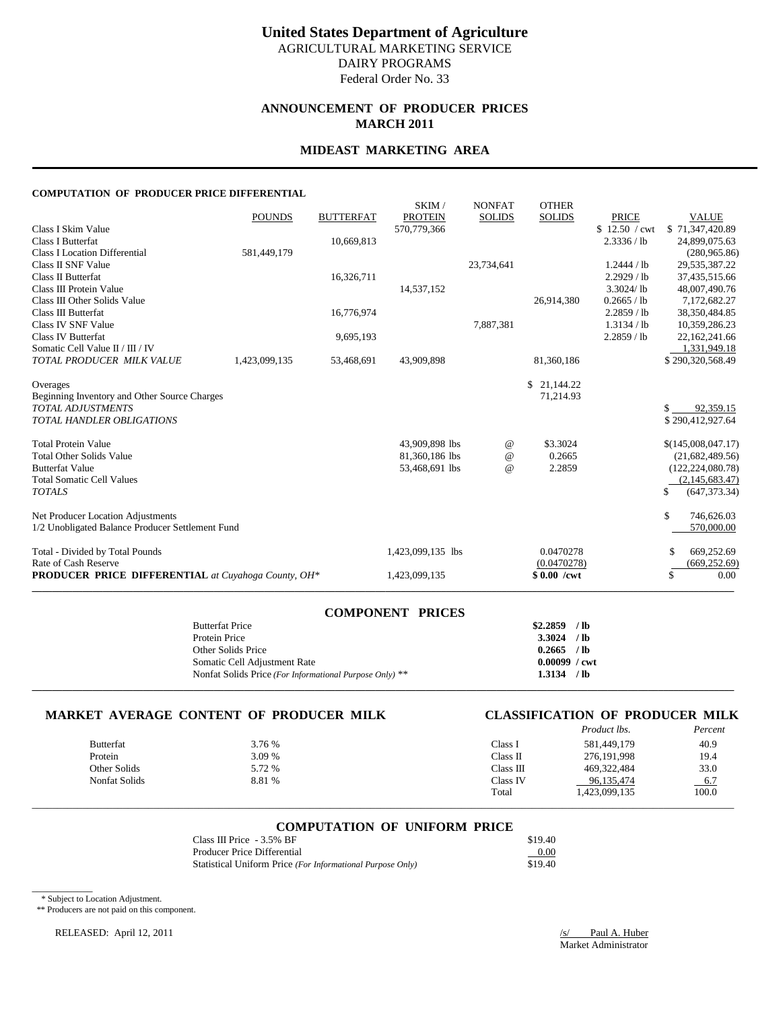# **ANNOUNCEMENT OF PRODUCER PRICES MARCH 2011**

### **MIDEAST MARKETING AREA**

#### **COMPUTATION OF PRODUCER PRICE DIFFERENTIAL**

| <b>PRODUCER PRICE DIFFERENTIAL</b> at Cuyahoga County, OH*                                            |               |                                | 1,423,099,135                    |               | $$0.00$ /cwt             |                                              | \$<br>0.00                                                  |
|-------------------------------------------------------------------------------------------------------|---------------|--------------------------------|----------------------------------|---------------|--------------------------|----------------------------------------------|-------------------------------------------------------------|
| Total - Divided by Total Pounds<br>Rate of Cash Reserve                                               |               |                                | 1,423,099,135 lbs                |               | 0.0470278<br>(0.0470278) |                                              | 669,252.69<br>\$<br>(669, 252.69)                           |
| Net Producer Location Adjustments<br>1/2 Unobligated Balance Producer Settlement Fund                 |               |                                |                                  |               |                          |                                              | \$<br>746,626.03<br>570,000.00                              |
| <b>Butterfat Value</b><br><b>Total Somatic Cell Values</b><br><b>TOTALS</b>                           |               |                                | 53,468,691 lbs                   | @             | 2.2859                   |                                              | (122, 224, 080.78)<br>(2,145,683.47)<br>(647, 373.34)<br>\$ |
| <b>Total Protein Value</b><br><b>Total Other Solids Value</b>                                         |               |                                | 43,909,898 lbs<br>81,360,186 lbs | @<br>$\omega$ | \$3.3024<br>0.2665       |                                              | \$(145,008,047.17)<br>(21,682,489.56)                       |
| Beginning Inventory and Other Source Charges<br>TOTAL ADJUSTMENTS<br><b>TOTAL HANDLER OBLIGATIONS</b> |               |                                |                                  |               | 71,214.93                |                                              | 92,359.15<br>\$290,412,927.64                               |
| Overages                                                                                              |               |                                |                                  |               | \$21,144.22              |                                              |                                                             |
| Somatic Cell Value II / III / IV<br>TOTAL PRODUCER MILK VALUE                                         | 1,423,099,135 | 53,468,691                     | 43,909,898                       |               | 81,360,186               |                                              | 1,331,949.18<br>\$290,320,568.49                            |
| Class IV SNF Value<br>Class IV Butterfat                                                              |               | 9,695,193                      |                                  | 7,887,381     |                          | 1.3134 / lb<br>$2.2859$ / lb                 | 10,359,286.23<br>22,162,241.66                              |
| Class III Protein Value<br>Class III Other Solids Value<br>Class III Butterfat                        |               | 16,776,974                     | 14,537,152                       |               | 26,914,380               | $3.3024$ /lb<br>0.2665 / lb<br>2.2859 / lb   | 48,007,490.76<br>7,172,682.27<br>38,350,484.85              |
| <b>Class I Location Differential</b><br>Class II SNF Value<br>Class II Butterfat                      | 581,449,179   | 16,326,711                     |                                  | 23,734,641    |                          | 1.2444 / lb<br>2.2929 / lb                   | (280, 965, 86)<br>29,535,387.22<br>37,435,515.66            |
| Class I Skim Value<br><b>Class I Butterfat</b>                                                        | <b>POUNDS</b> | <b>BUTTERFAT</b><br>10,669,813 | <b>PROTEIN</b><br>570,779,366    | <b>SOLIDS</b> | <b>SOLIDS</b>            | <b>PRICE</b><br>\$12.50 / cwt<br>2.3336 / lb | <b>VALUE</b><br>\$71,347,420.89<br>24,899,075.63            |
|                                                                                                       |               |                                | SKIM/                            | <b>NONFAT</b> | <b>OTHER</b>             |                                              |                                                             |

| <b>COMPONENT PRICES</b>                                 |                        |  |
|---------------------------------------------------------|------------------------|--|
| <b>Butterfat Price</b>                                  | $$2,2859$ /lb          |  |
| Protein Price                                           | $3.3024$ /lb           |  |
| Other Solids Price                                      | $0.2665$ /lb           |  |
| Somatic Cell Adjustment Rate                            | $0.00099 / \text{cwt}$ |  |
| Nonfat Solids Price (For Informational Purpose Only) ** | $1.3134$ /lb           |  |
|                                                         |                        |  |

# **MARKET AVERAGE CONTENT OF PRODUCER MILK CLASSIFICATION OF PRODUCER MILK**

|                  |        |           | <i>Product lbs.</i> | Percent |
|------------------|--------|-----------|---------------------|---------|
| <b>Butterfat</b> | 3.76 % | Class I   | 581.449.179         | 40.9    |
| Protein          | 3.09 % | Class II  | 276,191,998         | 19.4    |
| Other Solids     | 5.72 % | Class III | 469, 322, 484       | 33.0    |
| Nonfat Solids    | 8.81 % | Class IV  | 96.135.474          | $-6.7$  |
|                  |        | Total     | 1,423,099,135       | 100.0   |

# \_\_\_\_\_\_\_\_\_\_\_\_\_\_\_\_\_\_\_\_\_\_\_\_\_\_\_\_\_\_\_\_\_\_\_\_\_\_\_\_\_\_\_\_\_\_\_\_\_\_\_\_\_\_\_\_\_\_\_\_\_\_\_\_\_\_\_\_\_\_\_\_\_\_\_\_\_\_\_\_\_\_\_\_\_\_\_\_\_\_\_\_\_\_\_\_\_\_\_\_\_\_\_\_\_\_\_\_\_\_\_\_\_\_\_\_\_\_\_\_\_\_\_\_\_\_\_\_\_\_\_\_\_\_\_\_\_\_\_ **COMPUTATION OF UNIFORM PRICE**

| Class III Price $-3.5\%$ BF                                | \$19.40 |
|------------------------------------------------------------|---------|
| Producer Price Differential                                | 0.00    |
| Statistical Uniform Price (For Informational Purpose Only) | \$19.40 |

\* Subject to Location Adjustment.

 $\overline{\phantom{a}}$ 

\*\* Producers are not paid on this component.

RELEASED: April 12, 2011 /s/ Paul A. Huber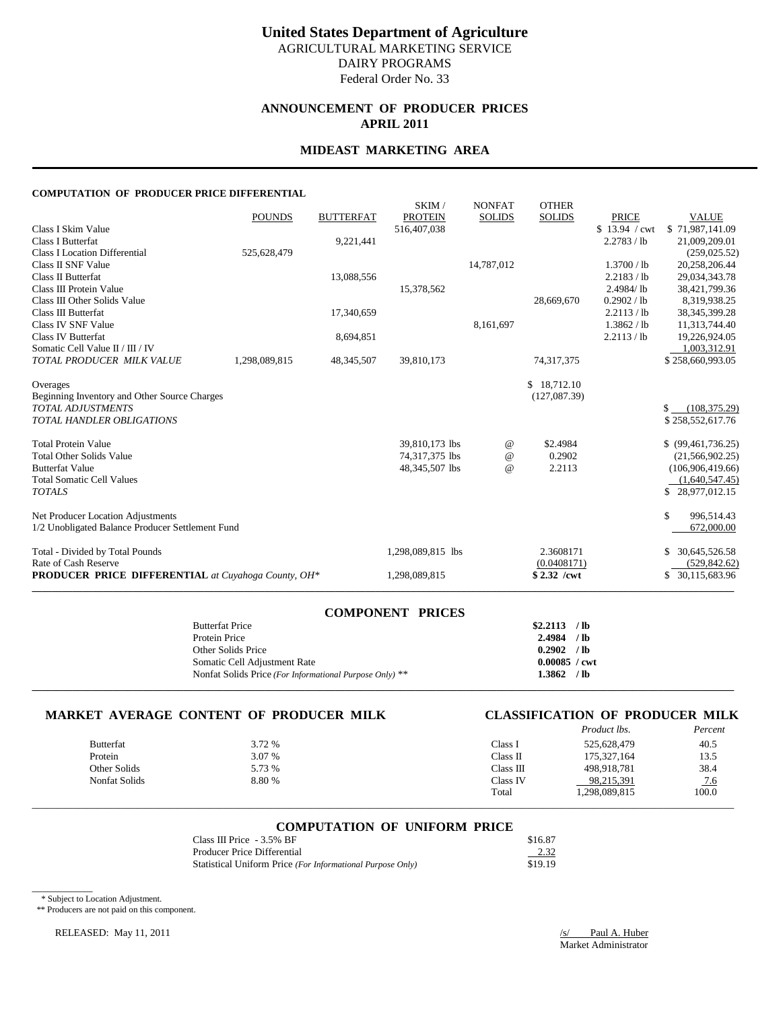# **ANNOUNCEMENT OF PRODUCER PRICES APRIL 2011**

### **MIDEAST MARKETING AREA**

#### **COMPUTATION OF PRODUCER PRICE DIFFERENTIAL**

|                                                                          |               |                  | SKIM/             | <b>NONFAT</b> | <b>OTHER</b>  |               |                      |
|--------------------------------------------------------------------------|---------------|------------------|-------------------|---------------|---------------|---------------|----------------------|
|                                                                          | <b>POUNDS</b> | <b>BUTTERFAT</b> | <b>PROTEIN</b>    | <b>SOLIDS</b> | <b>SOLIDS</b> | <b>PRICE</b>  | <b>VALUE</b>         |
| Class I Skim Value                                                       |               |                  | 516,407,038       |               |               | \$13.94 / cwt | \$71,987,141.09      |
| <b>Class I Butterfat</b>                                                 |               | 9,221,441        |                   |               |               | 2.2783 / lb   | 21,009,209.01        |
| <b>Class I Location Differential</b>                                     | 525,628,479   |                  |                   |               |               |               | (259, 025.52)        |
| Class II SNF Value                                                       |               |                  |                   | 14,787,012    |               | 1.3700 / lb   | 20,258,206.44        |
| Class II Butterfat                                                       |               | 13,088,556       |                   |               |               | 2.2183 / lb   | 29,034,343.78        |
| Class III Protein Value                                                  |               |                  | 15,378,562        |               |               | 2.4984/lb     | 38,421,799.36        |
| Class III Other Solids Value                                             |               |                  |                   |               | 28,669,670    | 0.2902 / lb   | 8,319,938.25         |
| Class III Butterfat                                                      |               | 17,340,659       |                   |               |               | 2.2113 / lb   | 38, 345, 399. 28     |
| Class IV SNF Value                                                       |               |                  |                   | 8,161,697     |               | 1.3862 / lb   | 11,313,744.40        |
| Class IV Butterfat                                                       |               | 8,694,851        |                   |               |               | 2.2113 / lb   | 19,226,924.05        |
| Somatic Cell Value II / III / IV                                         |               |                  |                   |               |               |               | 1,003,312.91         |
| TOTAL PRODUCER MILK VALUE                                                | 1,298,089,815 | 48, 345, 507     | 39,810,173        |               | 74,317,375    |               | \$258,660,993.05     |
|                                                                          |               |                  |                   |               | \$18,712.10   |               |                      |
| Overages                                                                 |               |                  |                   |               | (127,087,39)  |               |                      |
| Beginning Inventory and Other Source Charges<br><b>TOTAL ADJUSTMENTS</b> |               |                  |                   |               |               |               | \$<br>(108, 375, 29) |
| <b>TOTAL HANDLER OBLIGATIONS</b>                                         |               |                  |                   |               |               |               |                      |
|                                                                          |               |                  |                   |               |               |               | \$258,552,617.76     |
| <b>Total Protein Value</b>                                               |               |                  | 39,810,173 lbs    | $^{\,a}$      | \$2.4984      |               | \$ (99,461,736.25)   |
| <b>Total Other Solids Value</b>                                          |               |                  | 74,317,375 lbs    | $^{\,a}$      | 0.2902        |               | (21, 566, 902.25)    |
| <b>Butterfat Value</b>                                                   |               |                  | 48,345,507 lbs    | $\omega$      | 2.2113        |               | (106,906,419.66)     |
| <b>Total Somatic Cell Values</b>                                         |               |                  |                   |               |               |               | (1,640,547.45)       |
| <b>TOTALS</b>                                                            |               |                  |                   |               |               |               | \$28,977,012.15      |
| Net Producer Location Adjustments                                        |               |                  |                   |               |               |               | \$<br>996,514.43     |
| 1/2 Unobligated Balance Producer Settlement Fund                         |               |                  |                   |               |               |               | 672,000.00           |
| Total - Divided by Total Pounds                                          |               |                  | 1.298.089.815 lbs |               | 2.3608171     |               | 30,645,526.58        |
| Rate of Cash Reserve                                                     |               |                  |                   |               | (0.0408171)   |               | (529, 842.62)        |
| <b>PRODUCER PRICE DIFFERENTIAL</b> at Cuyahoga County, OH*               |               |                  | 1,298,089,815     |               | $$2.32$ /cwt  |               | \$ 30,115,683.96     |
|                                                                          |               |                  |                   |               |               |               |                      |

| <b>COMPONENT PRICES</b>                                 |                        |  |
|---------------------------------------------------------|------------------------|--|
| <b>Butterfat Price</b>                                  | $$2.2113$ /lb          |  |
| Protein Price                                           | $2.4984$ /lb           |  |
| Other Solids Price                                      | $0.2902$ /lb           |  |
| Somatic Cell Adjustment Rate                            | $0.00085 / \text{cwt}$ |  |
| Nonfat Solids Price (For Informational Purpose Only) ** | $1.3862$ /lb           |  |
|                                                         |                        |  |

# **MARKET AVERAGE CONTENT OF PRODUCER MILK CLASSIFICATION OF PRODUCER MILK**

|                      |        |           | <i>Product lbs.</i> | Percent    |
|----------------------|--------|-----------|---------------------|------------|
| <b>Butterfat</b>     | 3.72 % | Class 1   | 525,628,479         | 40.5       |
| Protein              | 3.07 % | Class II  | 175, 327, 164       | 13.5       |
| Other Solids         | 5.73 % | Class III | 498,918,781         | 38.4       |
| <b>Nonfat Solids</b> | 8.80 % | Class IV  | 98,215,391          | <u>7.6</u> |
|                      |        | Total     | 1,298,089,815       | 100.0      |
|                      |        |           |                     |            |

#### **COMPUTATION OF UNIFORM PRICE**

| Class III Price $-3.5\%$ BF                                | \$16.87 |
|------------------------------------------------------------|---------|
| Producer Price Differential                                | 2.32    |
| Statistical Uniform Price (For Informational Purpose Only) | \$19.19 |

\* Subject to Location Adjustment.

 $\overline{\phantom{a}}$ 

\*\* Producers are not paid on this component.

RELEASED: May 11, 2011 */s/ Paul A. Huber*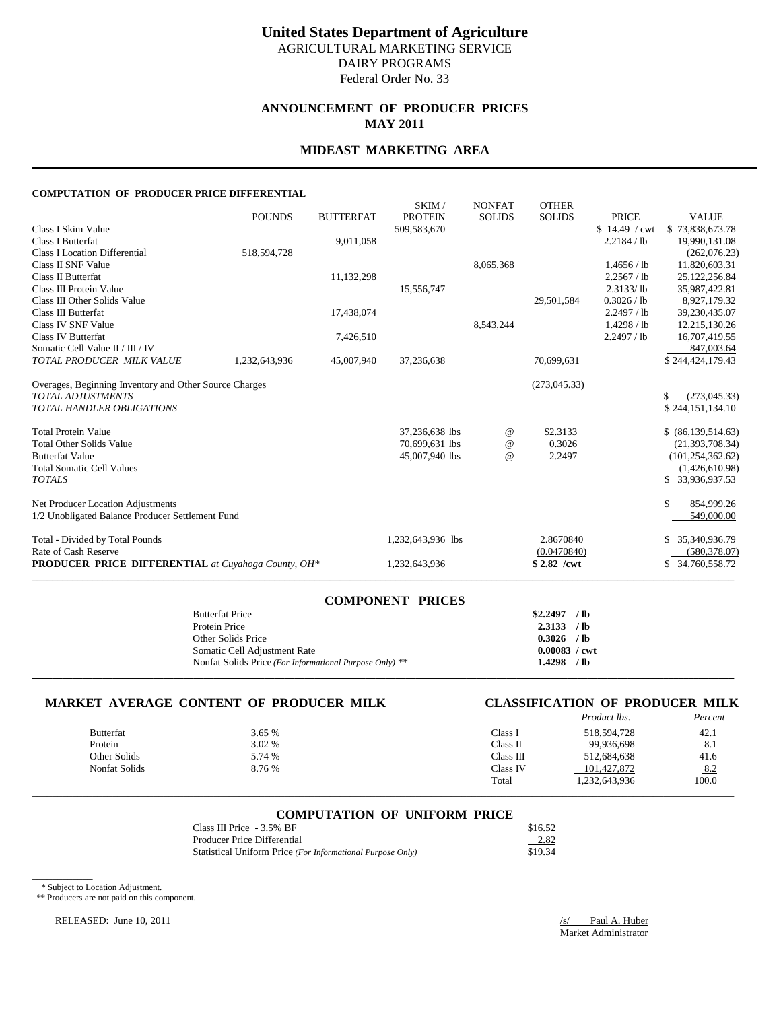# **ANNOUNCEMENT OF PRODUCER PRICES MAY 2011**

### **MIDEAST MARKETING AREA**

#### **COMPUTATION OF PRODUCER PRICE DIFFERENTIAL**

|                                                            | <b>POUNDS</b> | <b>BUTTERFAT</b> | SKIM/<br><b>PROTEIN</b> | <b>NONFAT</b> | <b>OTHER</b>  | <b>PRICE</b>  | <b>VALUE</b>                   |
|------------------------------------------------------------|---------------|------------------|-------------------------|---------------|---------------|---------------|--------------------------------|
| Class I Skim Value                                         |               |                  | 509,583,670             | <b>SOLIDS</b> | <b>SOLIDS</b> | \$14.49 / cwt | \$73,838,673.78                |
| <b>Class I Butterfat</b>                                   |               | 9,011,058        |                         |               |               | 2.2184 / lb   | 19,990,131.08                  |
| <b>Class I Location Differential</b>                       | 518,594,728   |                  |                         |               |               |               | (262,076.23)                   |
| Class II SNF Value                                         |               |                  |                         | 8,065,368     |               | 1.4656 / lb   | 11,820,603.31                  |
| Class II Butterfat                                         |               | 11,132,298       |                         |               |               | 2.2567 / lb   | 25,122,256.84                  |
| Class III Protein Value                                    |               |                  | 15,556,747              |               |               | 2.3133/lb     | 35,987,422.81                  |
| Class III Other Solids Value                               |               |                  |                         |               | 29,501,584    | 0.3026 / lb   | 8,927,179.32                   |
| Class III Butterfat                                        |               | 17,438,074       |                         |               |               | 2.2497 / lb   | 39,230,435.07                  |
| Class IV SNF Value                                         |               |                  |                         | 8,543,244     |               | 1.4298 / lb   | 12,215,130.26                  |
| Class IV Butterfat                                         |               | 7,426,510        |                         |               |               | 2.2497 / lb   | 16,707,419.55                  |
| Somatic Cell Value II / III / IV                           |               |                  |                         |               |               |               | 847,003.64                     |
| TOTAL PRODUCER MILK VALUE                                  | 1,232,643,936 | 45,007,940       | 37,236,638              |               | 70,699,631    |               | \$244,424,179.43               |
| Overages, Beginning Inventory and Other Source Charges     |               |                  |                         |               | (273,045.33)  |               |                                |
| <b>TOTAL ADJUSTMENTS</b>                                   |               |                  |                         |               |               |               | (273, 045, 33)<br>$\mathbb{S}$ |
| <b>TOTAL HANDLER OBLIGATIONS</b>                           |               |                  |                         |               |               |               | \$244,151,134.10               |
| <b>Total Protein Value</b>                                 |               |                  | 37,236,638 lbs          | $^{\,a}$      | \$2.3133      |               | \$ (86,139,514.63)             |
| <b>Total Other Solids Value</b>                            |               |                  | 70,699,631 lbs          | @             | 0.3026        |               | (21, 393, 708.34)              |
| <b>Butterfat Value</b>                                     |               |                  | 45,007,940 lbs          | $\omega$      | 2.2497        |               | (101, 254, 362, 62)            |
| <b>Total Somatic Cell Values</b>                           |               |                  |                         |               |               |               | (1,426,610.98)                 |
| <b>TOTALS</b>                                              |               |                  |                         |               |               |               | \$33,936,937.53                |
| Net Producer Location Adjustments                          |               |                  |                         |               |               |               | \$<br>854,999.26               |
| 1/2 Unobligated Balance Producer Settlement Fund           |               |                  |                         |               |               |               | 549,000.00                     |
| Total - Divided by Total Pounds                            |               |                  | 1,232,643,936 lbs       |               | 2.8670840     |               | \$ 35,340,936.79               |
| Rate of Cash Reserve                                       |               |                  |                         |               | (0.0470840)   |               | (580, 378.07)                  |
| <b>PRODUCER PRICE DIFFERENTIAL</b> at Cuyahoga County, OH* |               |                  | 1,232,643,936           |               | $$2.82$ /cwt  |               | \$ 34,760,558.72               |

| <b>COMPONENT PRICES</b>                                 |                        |  |
|---------------------------------------------------------|------------------------|--|
| <b>Butterfat Price</b>                                  | $$2,2497$ /lb          |  |
| Protein Price                                           | 2.3133 / lb            |  |
| Other Solids Price                                      | $0.3026$ /lb           |  |
| Somatic Cell Adjustment Rate                            | $0.00083 / \text{cwt}$ |  |
| Nonfat Solids Price (For Informational Purpose Only) ** | $1.4298$ /lb           |  |
|                                                         |                        |  |

# **MARKET AVERAGE CONTENT OF PRODUCER MILK CLASSIFICATION OF PRODUCER MILK**

|               |        |           | <i>Product lbs.</i> | Percent |
|---------------|--------|-----------|---------------------|---------|
| Butterfat     | 3.65 % | Class I   | 518.594.728         | 42.1    |
| Protein       | 3.02 % | Class II  | 99.936.698          | 8.1     |
| Other Solids  | 5.74 % | Class III | 512.684.638         | 41.6    |
| Nonfat Solids | 8.76 % | Class IV  | 101.427.872         | 8.2     |
|               |        | Total     | 1,232,643,936       | 100.0   |

#### **COMPUTATION OF UNIFORM PRICE**

\_\_\_\_\_\_\_\_\_\_\_\_\_\_\_\_\_\_\_\_\_\_\_\_\_\_\_\_\_\_\_\_\_\_\_\_\_\_\_\_\_\_\_\_\_\_\_\_\_\_\_\_\_\_\_\_\_\_\_\_\_\_\_\_\_\_\_\_\_\_\_\_\_\_\_\_\_\_\_\_\_\_\_\_\_\_\_\_\_\_\_\_\_\_\_\_\_\_\_\_\_\_\_\_\_\_\_\_\_\_\_\_\_\_\_\_\_\_\_\_\_\_\_\_\_\_\_\_\_\_\_\_\_\_\_\_\_\_\_

| Class III Price $-3.5\%$ BF                                | \$16.52 |
|------------------------------------------------------------|---------|
| Producer Price Differential                                | 2.82    |
| Statistical Uniform Price (For Informational Purpose Only) | \$19.34 |

\* Subject to Location Adjustment.

 $\overline{\phantom{a}}$ 

\*\* Producers are not paid on this component.

RELEASED: June 10, 2011 /s/ Paul A. Huber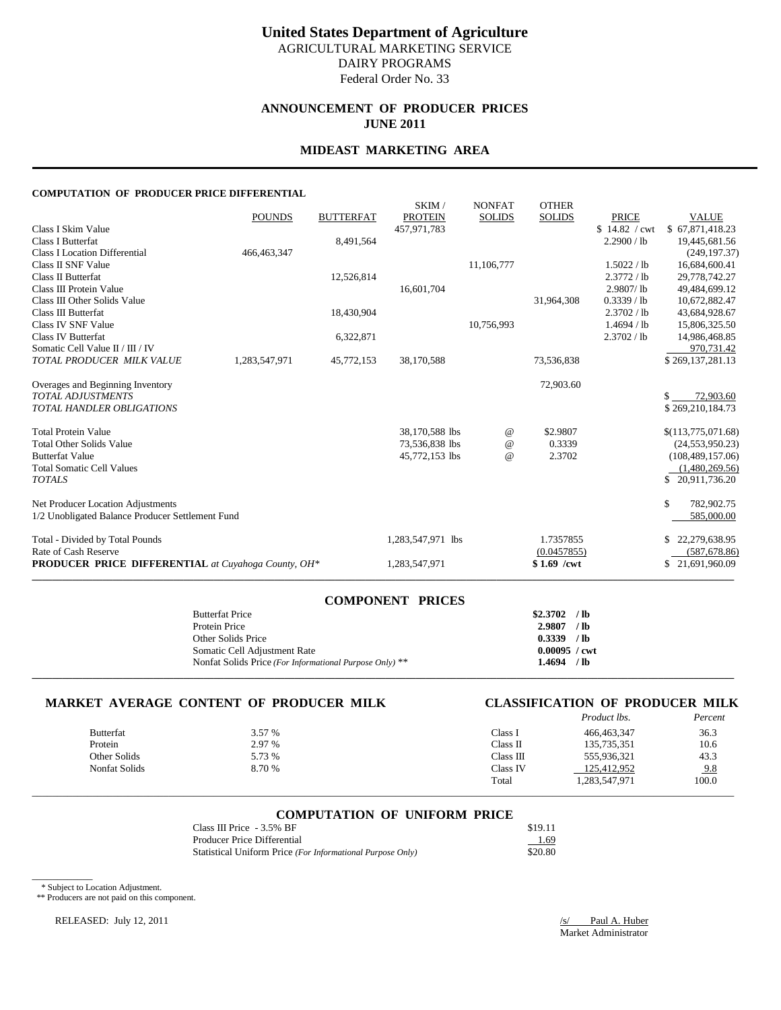# **ANNOUNCEMENT OF PRODUCER PRICES JUNE 2011**

### **MIDEAST MARKETING AREA**

#### **COMPUTATION OF PRODUCER PRICE DIFFERENTIAL**

|                                                            | <b>POUNDS</b> | <b>BUTTERFAT</b> | SKIM/<br><b>PROTEIN</b> | <b>NONFAT</b><br><b>SOLIDS</b> | <b>OTHER</b><br><b>SOLIDS</b> | <b>PRICE</b>  | <b>VALUE</b>       |
|------------------------------------------------------------|---------------|------------------|-------------------------|--------------------------------|-------------------------------|---------------|--------------------|
| Class I Skim Value                                         |               |                  | 457,971,783             |                                |                               | \$14.82 / cwt | \$67,871,418.23    |
| <b>Class I Butterfat</b>                                   |               | 8,491,564        |                         |                                |                               | 2.2900 / lb   | 19,445,681.56      |
| <b>Class I Location Differential</b>                       | 466, 463, 347 |                  |                         |                                |                               |               | (249, 197.37)      |
| Class II SNF Value                                         |               |                  |                         | 11,106,777                     |                               | 1.5022 / lb   | 16,684,600.41      |
| Class II Butterfat                                         |               | 12,526,814       |                         |                                |                               | 2.3772 / lb   | 29,778,742.27      |
| Class III Protein Value                                    |               |                  | 16,601,704              |                                |                               | 2.9807/lb     | 49,484,699.12      |
| Class III Other Solids Value                               |               |                  |                         |                                | 31,964,308                    | $0.3339$ / lb | 10,672,882.47      |
| Class III Butterfat                                        |               | 18,430,904       |                         |                                |                               | 2.3702 / lb   | 43,684,928.67      |
| Class IV SNF Value                                         |               |                  |                         | 10,756,993                     |                               | 1.4694 / lb   | 15,806,325.50      |
| Class IV Butterfat                                         |               | 6,322,871        |                         |                                |                               | 2.3702 / lb   | 14,986,468.85      |
| Somatic Cell Value II / III / IV                           |               |                  |                         |                                |                               |               | 970.731.42         |
| TOTAL PRODUCER MILK VALUE                                  | 1,283,547,971 | 45,772,153       | 38,170,588              |                                | 73,536,838                    |               | \$269,137,281.13   |
| Overages and Beginning Inventory                           |               |                  |                         |                                | 72,903.60                     |               |                    |
| <b>TOTAL ADJUSTMENTS</b>                                   |               |                  |                         |                                |                               |               | 72,903.60<br>\$    |
| TOTAL HANDLER OBLIGATIONS                                  |               |                  |                         |                                |                               |               | \$269,210,184.73   |
| <b>Total Protein Value</b>                                 |               |                  | 38,170,588 lbs          | @                              | \$2.9807                      |               | \$(113,775,071.68) |
| <b>Total Other Solids Value</b>                            |               |                  | 73,536,838 lbs          | $^{\,a}$                       | 0.3339                        |               | (24, 553, 950.23)  |
| <b>Butterfat Value</b>                                     |               |                  | 45,772,153 lbs          | $^{\omega}{}$                  | 2.3702                        |               | (108, 489, 157.06) |
| <b>Total Somatic Cell Values</b>                           |               |                  |                         |                                |                               |               | (1,480,269.56)     |
| <b>TOTALS</b>                                              |               |                  |                         |                                |                               |               | \$20,911,736.20    |
| Net Producer Location Adjustments                          |               |                  |                         |                                |                               |               | \$<br>782,902.75   |
| 1/2 Unobligated Balance Producer Settlement Fund           |               |                  |                         |                                |                               |               | 585,000.00         |
| Total - Divided by Total Pounds                            |               |                  | 1,283,547,971 lbs       |                                | 1.7357855                     |               | 22,279,638.95      |
| Rate of Cash Reserve                                       |               |                  |                         |                                | (0.0457855)                   |               | (587, 678.86)      |
| <b>PRODUCER PRICE DIFFERENTIAL</b> at Cuyahoga County, OH* |               |                  | 1,283,547,971           |                                | $$1.69$ /cwt                  |               | \$21,691,960.09    |

| <b>COMPONENT PRICES</b>                                 |                        |  |
|---------------------------------------------------------|------------------------|--|
| <b>Butterfat Price</b>                                  | $$2.3702$ /lb          |  |
| Protein Price                                           | $2.9807$ /lb           |  |
| Other Solids Price                                      | $0.3339$ /lb           |  |
| Somatic Cell Adjustment Rate                            | $0.00095 / \text{cwt}$ |  |
| Nonfat Solids Price (For Informational Purpose Only) ** | $1.4694$ /lb           |  |
|                                                         |                        |  |

# **MARKET AVERAGE CONTENT OF PRODUCER MILK CLASSIFICATION OF PRODUCER MILK**

|                  |        |           | Product lbs.  | Percent    |
|------------------|--------|-----------|---------------|------------|
| <b>Butterfat</b> | 3.57 % | Class I   | 466,463,347   | 36.3       |
| Protein          | 2.97 % | Class II  | 135,735,351   | 10.6       |
| Other Solids     | 5.73 % | Class III | 555.936.321   | 43.3       |
| Nonfat Solids    | 8.70 % | Class IV  | 125,412,952   | <u>9.8</u> |
|                  |        | Total     | 1,283,547,971 | 100.0      |

#### **COMPUTATION OF UNIFORM PRICE**

\_\_\_\_\_\_\_\_\_\_\_\_\_\_\_\_\_\_\_\_\_\_\_\_\_\_\_\_\_\_\_\_\_\_\_\_\_\_\_\_\_\_\_\_\_\_\_\_\_\_\_\_\_\_\_\_\_\_\_\_\_\_\_\_\_\_\_\_\_\_\_\_\_\_\_\_\_\_\_\_\_\_\_\_\_\_\_\_\_\_\_\_\_\_\_\_\_\_\_\_\_\_\_\_\_\_\_\_\_\_\_\_\_\_\_\_\_\_\_\_\_\_\_\_\_\_\_\_\_\_\_\_\_\_\_\_\_\_\_

| Class III Price - 3.5% BF                                  | \$19.11 |
|------------------------------------------------------------|---------|
| Producer Price Differential                                | 1.69    |
| Statistical Uniform Price (For Informational Purpose Only) | \$20.80 |

\* Subject to Location Adjustment.

 $\overline{\phantom{a}}$ 

\*\* Producers are not paid on this component.

RELEASED: July 12, 2011 /s/ Paul A. Huber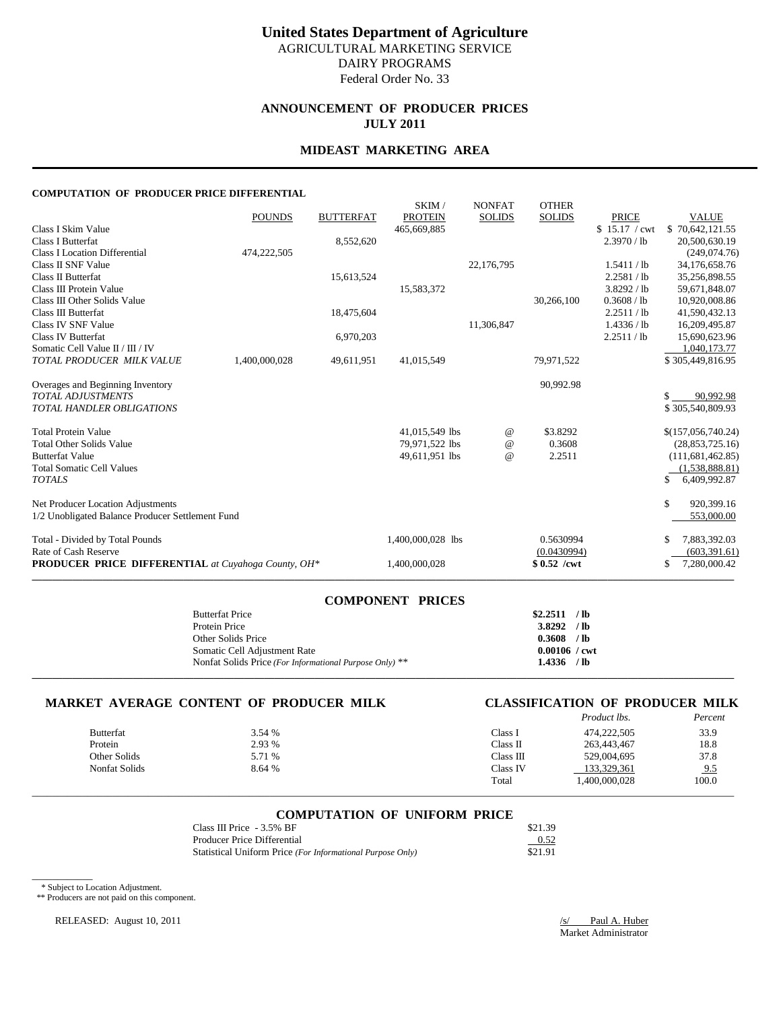# **ANNOUNCEMENT OF PRODUCER PRICES JULY 2011**

### **MIDEAST MARKETING AREA**

#### **COMPUTATION OF PRODUCER PRICE DIFFERENTIAL**

|                                                            | <b>POUNDS</b> | <b>BUTTERFAT</b> | SKIM/<br><b>PROTEIN</b> | <b>NONFAT</b><br><b>SOLIDS</b> | <b>OTHER</b><br><b>SOLIDS</b> | <b>PRICE</b>  | <b>VALUE</b>       |
|------------------------------------------------------------|---------------|------------------|-------------------------|--------------------------------|-------------------------------|---------------|--------------------|
| Class I Skim Value                                         |               |                  | 465,669,885             |                                |                               | \$15.17 / cwt | \$70,642,121.55    |
| Class I Butterfat                                          |               | 8,552,620        |                         |                                |                               | 2.3970 / lb   | 20,500,630.19      |
| <b>Class I Location Differential</b>                       | 474,222,505   |                  |                         |                                |                               |               | (249,074.76)       |
| Class II SNF Value                                         |               |                  |                         | 22,176,795                     |                               | 1.5411 / lb   | 34,176,658.76      |
| Class II Butterfat                                         |               | 15,613,524       |                         |                                |                               | 2.2581 / lb   | 35,256,898.55      |
| Class III Protein Value                                    |               |                  | 15,583,372              |                                |                               | 3.8292 / lb   | 59,671,848.07      |
| Class III Other Solids Value                               |               |                  |                         |                                | 30,266,100                    | 0.3608 / lb   | 10,920,008.86      |
| Class III Butterfat                                        |               | 18,475,604       |                         |                                |                               | 2.2511 / lb   | 41,590,432.13      |
| Class IV SNF Value                                         |               |                  |                         | 11,306,847                     |                               | 1.4336 / lb   | 16,209,495.87      |
| Class IV Butterfat                                         |               | 6,970,203        |                         |                                |                               | 2.2511 / lb   | 15,690,623.96      |
| Somatic Cell Value II / III / IV                           |               |                  |                         |                                |                               |               | 1,040,173.77       |
| TOTAL PRODUCER MILK VALUE                                  | 1,400,000,028 | 49,611,951       | 41,015,549              |                                | 79,971,522                    |               | \$305,449,816.95   |
| Overages and Beginning Inventory                           |               |                  |                         |                                | 90,992.98                     |               |                    |
| <b>TOTAL ADJUSTMENTS</b>                                   |               |                  |                         |                                |                               |               | 90,992.98<br>\$.   |
| <b>TOTAL HANDLER OBLIGATIONS</b>                           |               |                  |                         |                                |                               |               | \$305,540,809.93   |
| <b>Total Protein Value</b>                                 |               |                  | 41,015,549 lbs          | @                              | \$3.8292                      |               | \$(157,056,740.24) |
| <b>Total Other Solids Value</b>                            |               |                  | 79,971,522 lbs          | @                              | 0.3608                        |               | (28, 853, 725.16)  |
| <b>Butterfat Value</b>                                     |               |                  | 49,611,951 lbs          | $\omega$                       | 2.2511                        |               | (111, 681, 462.85) |
| <b>Total Somatic Cell Values</b>                           |               |                  |                         |                                |                               |               | (1,538,888.81)     |
| <b>TOTALS</b>                                              |               |                  |                         |                                |                               |               | 6,409,992.87       |
| Net Producer Location Adjustments                          |               |                  |                         |                                |                               |               | 920,399.16<br>\$   |
| 1/2 Unobligated Balance Producer Settlement Fund           |               |                  |                         |                                |                               |               | 553,000.00         |
| Total - Divided by Total Pounds                            |               |                  | 1,400,000,028 lbs       |                                | 0.5630994                     |               | 7,883,392.03<br>\$ |
| Rate of Cash Reserve                                       |               |                  |                         |                                | (0.0430994)                   |               | (603, 391.61)      |
| <b>PRODUCER PRICE DIFFERENTIAL</b> at Cuyahoga County, OH* |               |                  | 1,400,000,028           |                                | $$0.52$ /cwt                  |               | 7,280,000.42       |
|                                                            |               |                  |                         |                                |                               |               |                    |

| <b>COMPONENT PRICES</b>                                 |                        |  |
|---------------------------------------------------------|------------------------|--|
| <b>Butterfat Price</b>                                  | $$2.2511$ /lb          |  |
| Protein Price                                           | $3.8292$ /lb           |  |
| Other Solids Price                                      | $0.3608$ /lb           |  |
| Somatic Cell Adjustment Rate                            | $0.00106 / \text{cwt}$ |  |
| Nonfat Solids Price (For Informational Purpose Only) ** | $1.4336$ /lb           |  |
|                                                         |                        |  |

# **MARKET AVERAGE CONTENT OF PRODUCER MILK CLASSIFICATION OF PRODUCER MILK**

|                  |        |           | <i>Product lbs.</i> | Percent |
|------------------|--------|-----------|---------------------|---------|
| <b>Butterfat</b> | 3.54 % | Class I   | 474,222,505         | 33.9    |
| Protein          | 2.93 % | Class II  | 263,443,467         | 18.8    |
| Other Solids     | 5.71 % | Class III | 529,004,695         | 37.8    |
| Nonfat Solids    | 8.64 % | Class IV  | 133,329,361         | 9.5     |
|                  |        | Total     | 1.400.000.028       | 100.0   |

#### **COMPUTATION OF UNIFORM PRICE**

\_\_\_\_\_\_\_\_\_\_\_\_\_\_\_\_\_\_\_\_\_\_\_\_\_\_\_\_\_\_\_\_\_\_\_\_\_\_\_\_\_\_\_\_\_\_\_\_\_\_\_\_\_\_\_\_\_\_\_\_\_\_\_\_\_\_\_\_\_\_\_\_\_\_\_\_\_\_\_\_\_\_\_\_\_\_\_\_\_\_\_\_\_\_\_\_\_\_\_\_\_\_\_\_\_\_\_\_\_\_\_\_\_\_\_\_\_\_\_\_\_\_\_\_\_\_\_\_\_\_\_\_\_\_\_\_\_\_\_

| Class III Price $-3.5\%$ BF                                | \$21.39 |
|------------------------------------------------------------|---------|
| Producer Price Differential                                | 0.52    |
| Statistical Uniform Price (For Informational Purpose Only) | \$21.91 |

\* Subject to Location Adjustment.

 $\overline{\phantom{a}}$ 

\*\* Producers are not paid on this component.

RELEASED: August 10, 2011 */s/* Paul A. Huber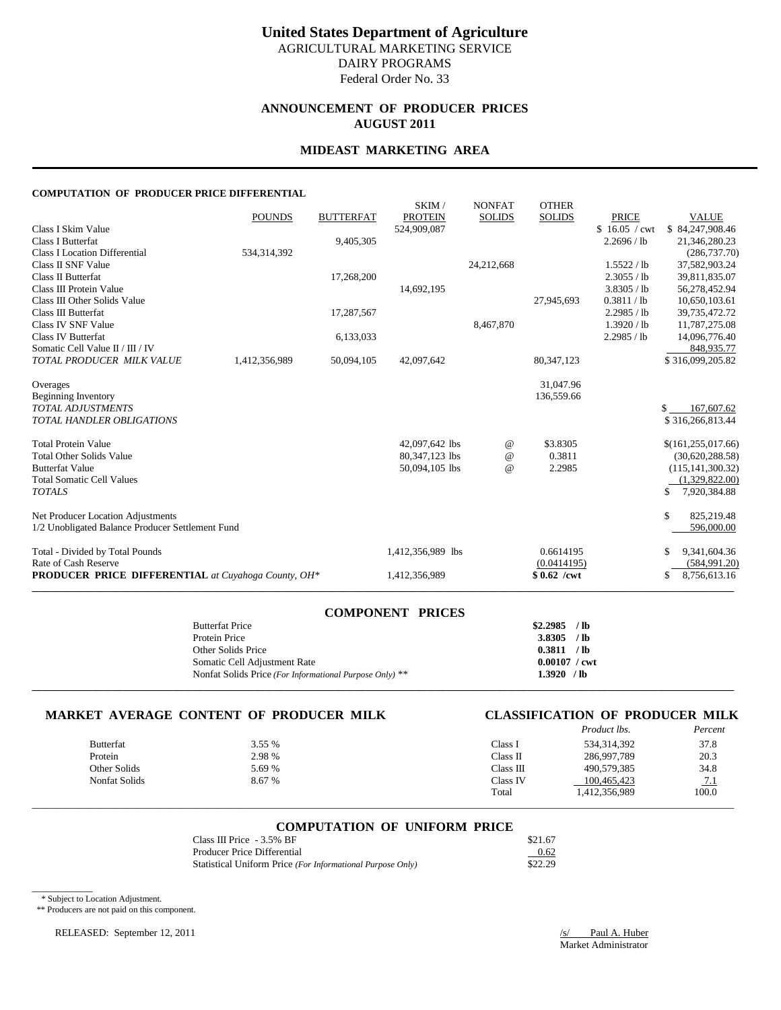# **ANNOUNCEMENT OF PRODUCER PRICES AUGUST 2011**

# **MIDEAST MARKETING AREA**

#### **COMPUTATION OF PRODUCER PRICE DIFFERENTIAL**

| <b>PRODUCER PRICE DIFFERENTIAL</b> at Cuyahoga County, OH*                            |               |                  | 1,412,356,989                    |                                | $$0.62$ /cwt                  |                              | 8,756,613.16<br>\$                    |
|---------------------------------------------------------------------------------------|---------------|------------------|----------------------------------|--------------------------------|-------------------------------|------------------------------|---------------------------------------|
| Total - Divided by Total Pounds<br>Rate of Cash Reserve                               |               |                  | 1,412,356,989 lbs                |                                | 0.6614195<br>(0.0414195)      |                              | 9,341,604.36<br>(584, 991.20)         |
| Net Producer Location Adjustments<br>1/2 Unobligated Balance Producer Settlement Fund |               |                  |                                  |                                |                               |                              | \$<br>825,219.48<br>596,000.00        |
| <b>Total Somatic Cell Values</b><br><b>TOTALS</b>                                     |               |                  |                                  |                                |                               |                              | (1,329,822.00)<br>7,920,384.88<br>\$  |
| <b>Total Other Solids Value</b><br><b>Butterfat Value</b>                             |               |                  | 80,347,123 lbs<br>50,094,105 lbs | $\omega$<br>$\omega$           | 0.3811<br>2.2985              |                              | (30,620,288.58)<br>(115, 141, 300.32) |
| <b>Total Protein Value</b>                                                            |               |                  | 42,097,642 lbs                   | @                              | \$3.8305                      |                              | \$(161, 255, 017.66)                  |
| <b>TOTAL ADJUSTMENTS</b><br><b>TOTAL HANDLER OBLIGATIONS</b>                          |               |                  |                                  |                                |                               |                              | 167,607.62<br>\$.<br>\$316,266,813.44 |
| <b>Beginning Inventory</b>                                                            |               |                  |                                  |                                | 136,559.66                    |                              |                                       |
| Overages                                                                              |               |                  |                                  |                                | 31,047.96                     |                              |                                       |
| Somatic Cell Value II / III / IV<br>TOTAL PRODUCER MILK VALUE                         | 1,412,356,989 | 50,094,105       | 42,097,642                       |                                | 80,347,123                    |                              | 848,935.77<br>\$316,099,205.82        |
| Class IV Butterfat                                                                    |               | 6,133,033        |                                  |                                |                               | 2.2985 / lb                  | 14,096,776.40                         |
| Class IV SNF Value                                                                    |               |                  |                                  | 8,467,870                      |                               | 1.3920 / lb                  | 11,787,275.08                         |
| Class III Other Solids Value<br>Class III Butterfat                                   |               | 17,287,567       |                                  |                                | 27,945,693                    | 0.3811 / lb<br>2.2985 / lb   | 10,650,103.61<br>39,735,472.72        |
| Class III Protein Value                                                               |               |                  | 14,692,195                       |                                |                               | 3.8305 / lb                  | 56,278,452.94                         |
| Class II SNF Value<br>Class II Butterfat                                              |               | 17,268,200       |                                  | 24,212,668                     |                               | 1.5522 / lb<br>2.3055 / lb   | 37,582,903.24<br>39,811,835.07        |
| <b>Class I Location Differential</b>                                                  | 534, 314, 392 | 9,405,305        |                                  |                                |                               |                              | 21,346,280.23<br>(286, 737, 70)       |
| Class I Skim Value<br><b>Class I Butterfat</b>                                        |               |                  | 524,909,087                      |                                |                               | \$16.05 / cwt<br>2.2696 / lb | \$84,247,908.46                       |
|                                                                                       | <b>POUNDS</b> | <b>BUTTERFAT</b> | SKIM/<br><b>PROTEIN</b>          | <b>NONFAT</b><br><b>SOLIDS</b> | <b>OTHER</b><br><b>SOLIDS</b> | <b>PRICE</b>                 | <b>VALUE</b>                          |

| <b>COMPONENT PRICES</b>                                 |                        |  |
|---------------------------------------------------------|------------------------|--|
| <b>Butterfat Price</b>                                  | $$2,2985$ /lb          |  |
| Protein Price                                           | $3.8305$ /lb           |  |
| Other Solids Price                                      | 0.3811 / lb            |  |
| Somatic Cell Adjustment Rate                            | $0.00107 / \text{cwt}$ |  |
| Nonfat Solids Price (For Informational Purpose Only) ** | $1.3920$ /lb           |  |
|                                                         |                        |  |

# **MARKET AVERAGE CONTENT OF PRODUCER MILK CLASSIFICATION OF PRODUCER MILK**

| CLASSIFICATION OF PRODUCER MILK |                    |  |         |
|---------------------------------|--------------------|--|---------|
|                                 | <i>Product lbs</i> |  | Percent |

|               |        |           | <i>i rouger ws.</i> | 1 c/cc/4   |
|---------------|--------|-----------|---------------------|------------|
| Butterfat     | 3.55 % | Class I   | 534, 314, 392       | 37.8       |
| Protein       | 2.98 % | Class II  | 286,997,789         | 20.3       |
| Other Solids  | 5.69 % | Class III | 490.579.385         | 34.8       |
| Nonfat Solids | 8.67 % | Class IV  | 100.465.423         | <u>7.1</u> |
|               |        | Total     | 1,412,356,989       | 100.0      |
|               |        |           |                     |            |

### **COMPUTATION OF UNIFORM PRICE**

\_\_\_\_\_\_\_\_\_\_\_\_\_\_\_\_\_\_\_\_\_\_\_\_\_\_\_\_\_\_\_\_\_\_\_\_\_\_\_\_\_\_\_\_\_\_\_\_\_\_\_\_\_\_\_\_\_\_\_\_\_\_\_\_\_\_\_\_\_\_\_\_\_\_\_\_\_\_\_\_\_\_\_\_\_\_\_\_\_\_\_\_\_\_\_\_\_\_\_\_\_\_\_\_\_\_\_\_\_\_\_\_\_\_\_\_\_\_\_\_\_\_\_\_\_\_\_\_\_\_\_\_\_\_\_\_\_\_\_

| Class III Price $-3.5\%$ BF                                | \$21.67 |
|------------------------------------------------------------|---------|
| Producer Price Differential                                | 0.62    |
| Statistical Uniform Price (For Informational Purpose Only) | \$22.29 |

\* Subject to Location Adjustment.

 $\overline{\phantom{a}}$ 

\*\* Producers are not paid on this component.

RELEASED: September 12, 2011 /s/ Paul A. Huber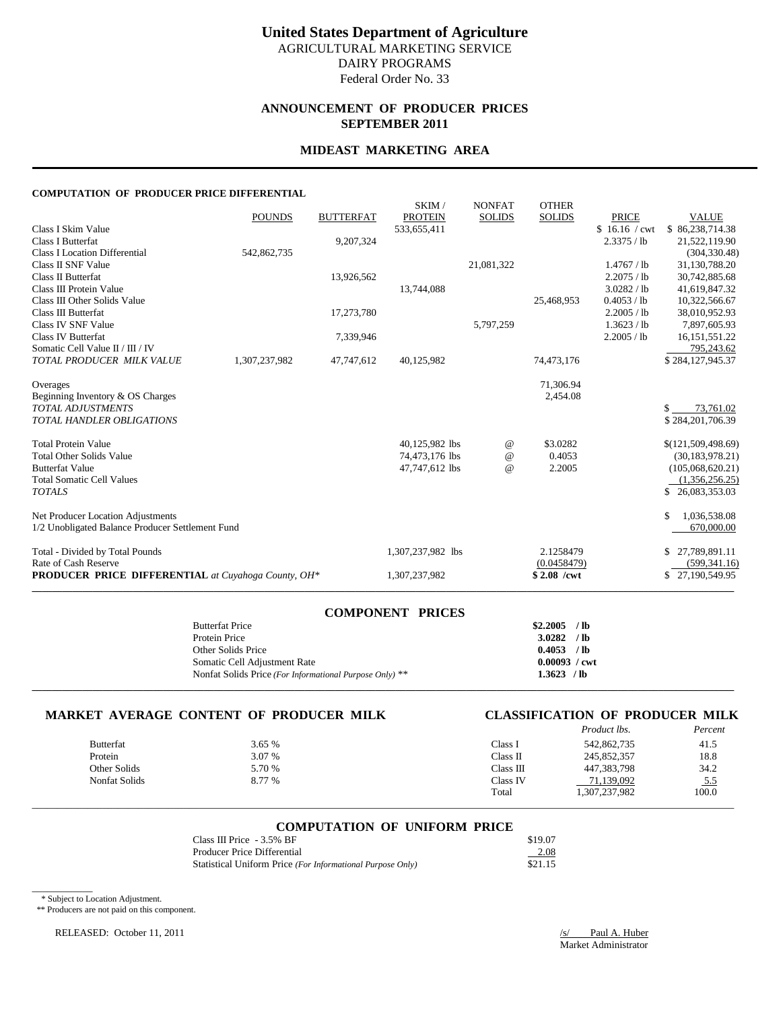# **ANNOUNCEMENT OF PRODUCER PRICES SEPTEMBER 2011**

### **MIDEAST MARKETING AREA**

#### **COMPUTATION OF PRODUCER PRICE DIFFERENTIAL**

|                                                            | <b>POUNDS</b> | <b>BUTTERFAT</b> | SKIM/<br><b>PROTEIN</b> | <b>NONFAT</b><br><b>SOLIDS</b> | <b>OTHER</b><br><b>SOLIDS</b> | <b>PRICE</b>  | <b>VALUE</b>       |
|------------------------------------------------------------|---------------|------------------|-------------------------|--------------------------------|-------------------------------|---------------|--------------------|
| Class I Skim Value                                         |               |                  | 533,655,411             |                                |                               | \$16.16 / cwt | \$86,238,714.38    |
| <b>Class I Butterfat</b>                                   |               | 9,207,324        |                         |                                |                               | 2.3375 / lb   | 21,522,119.90      |
| Class I Location Differential                              | 542,862,735   |                  |                         |                                |                               |               | (304, 330.48)      |
| Class II SNF Value                                         |               |                  |                         | 21,081,322                     |                               | 1.4767 / lb   | 31,130,788.20      |
| Class II Butterfat                                         |               | 13,926,562       |                         |                                |                               | 2.2075 / lb   | 30,742,885.68      |
| Class III Protein Value                                    |               |                  | 13,744,088              |                                |                               | 3.0282 / lb   | 41,619,847.32      |
| Class III Other Solids Value                               |               |                  |                         |                                | 25,468,953                    | 0.4053 / lb   | 10,322,566.67      |
| Class III Butterfat                                        |               | 17,273,780       |                         |                                |                               | 2.2005 / lb   | 38,010,952.93      |
| Class IV SNF Value                                         |               |                  |                         | 5,797,259                      |                               | 1.3623 / lb   | 7,897,605.93       |
| Class IV Butterfat                                         |               | 7,339,946        |                         |                                |                               | 2.2005 / lb   | 16, 151, 551. 22   |
| Somatic Cell Value II / III / IV                           |               |                  |                         |                                |                               |               | 795,243.62         |
| TOTAL PRODUCER MILK VALUE                                  | 1,307,237,982 | 47,747,612       | 40,125,982              |                                | 74,473,176                    |               | \$284,127,945.37   |
| Overages                                                   |               |                  |                         |                                | 71,306.94                     |               |                    |
| Beginning Inventory & OS Charges                           |               |                  |                         |                                | 2,454.08                      |               |                    |
| <b>TOTAL ADJUSTMENTS</b>                                   |               |                  |                         |                                |                               |               | 73,761.02<br>\$.   |
| <b>TOTAL HANDLER OBLIGATIONS</b>                           |               |                  |                         |                                |                               |               | \$284,201,706.39   |
| <b>Total Protein Value</b>                                 |               |                  | 40,125,982 lbs          | $^{\copyright}$                | \$3.0282                      |               | \$(121,509,498.69) |
| <b>Total Other Solids Value</b>                            |               |                  | 74,473,176 lbs          | $^{\omega}{}$                  | 0.4053                        |               | (30, 183, 978, 21) |
| <b>Butterfat Value</b>                                     |               |                  | 47,747,612 lbs          | $\omega$                       | 2.2005                        |               | (105,068,620.21)   |
| <b>Total Somatic Cell Values</b>                           |               |                  |                         |                                |                               |               | (1,356,256.25)     |
| <b>TOTALS</b>                                              |               |                  |                         |                                |                               |               | \$26,083,353.03    |
| Net Producer Location Adjustments                          |               |                  |                         |                                |                               |               | 1,036,538.08<br>\$ |
| 1/2 Unobligated Balance Producer Settlement Fund           |               |                  |                         |                                |                               |               | 670,000.00         |
| Total - Divided by Total Pounds                            |               |                  | 1,307,237,982 lbs       |                                | 2.1258479                     |               | \$27,789,891.11    |
| Rate of Cash Reserve                                       |               |                  |                         |                                | (0.0458479)                   |               | (599, 341.16)      |
| <b>PRODUCER PRICE DIFFERENTIAL</b> at Cuyahoga County, OH* |               |                  | 1,307,237,982           |                                | $$2.08$ /cwt                  |               | \$27,190,549.95    |

| <b>COMPONENT PRICES</b>                                 |                        |  |
|---------------------------------------------------------|------------------------|--|
| <b>Butterfat Price</b>                                  | $$2,2005$ /lb          |  |
| Protein Price                                           | $3.0282$ /lb           |  |
| Other Solids Price                                      | $0.4053$ /lb           |  |
| Somatic Cell Adjustment Rate                            | $0.00093 / \text{cwt}$ |  |
| Nonfat Solids Price (For Informational Purpose Only) ** | $1.3623$ /lb           |  |
|                                                         |                        |  |

# **MARKET AVERAGE CONTENT OF PRODUCER MILK CLASSIFICATION OF PRODUCER MILK**

|                  |        |           | <i>Product lbs.</i> | Percent    |
|------------------|--------|-----------|---------------------|------------|
| <b>Butterfat</b> | 3.65 % | Class I   | 542,862,735         | 41.5       |
| Protein          | 3.07 % | Class II  | 245,852,357         | 18.8       |
| Other Solids     | 5.70 % | Class III | 447,383,798         | 34.2       |
| Nonfat Solids    | 8.77 % | Class IV  | 71.139.092          | <u>5.5</u> |
|                  |        | Total     | 1,307,237,982       | 100.0      |

#### **COMPUTATION OF UNIFORM PRICE**

\_\_\_\_\_\_\_\_\_\_\_\_\_\_\_\_\_\_\_\_\_\_\_\_\_\_\_\_\_\_\_\_\_\_\_\_\_\_\_\_\_\_\_\_\_\_\_\_\_\_\_\_\_\_\_\_\_\_\_\_\_\_\_\_\_\_\_\_\_\_\_\_\_\_\_\_\_\_\_\_\_\_\_\_\_\_\_\_\_\_\_\_\_\_\_\_\_\_\_\_\_\_\_\_\_\_\_\_\_\_\_\_\_\_\_\_\_\_\_\_\_\_\_\_\_\_\_\_\_\_\_\_\_\_\_\_\_\_\_

| Class III Price $-3.5\%$ BF                                | \$19.07 |
|------------------------------------------------------------|---------|
| Producer Price Differential                                | 2.08    |
| Statistical Uniform Price (For Informational Purpose Only) | \$21.15 |

\* Subject to Location Adjustment.

 $\overline{\phantom{a}}$ 

\*\* Producers are not paid on this component.

RELEASED: October 11, 2011 /s/ Paul A. Huber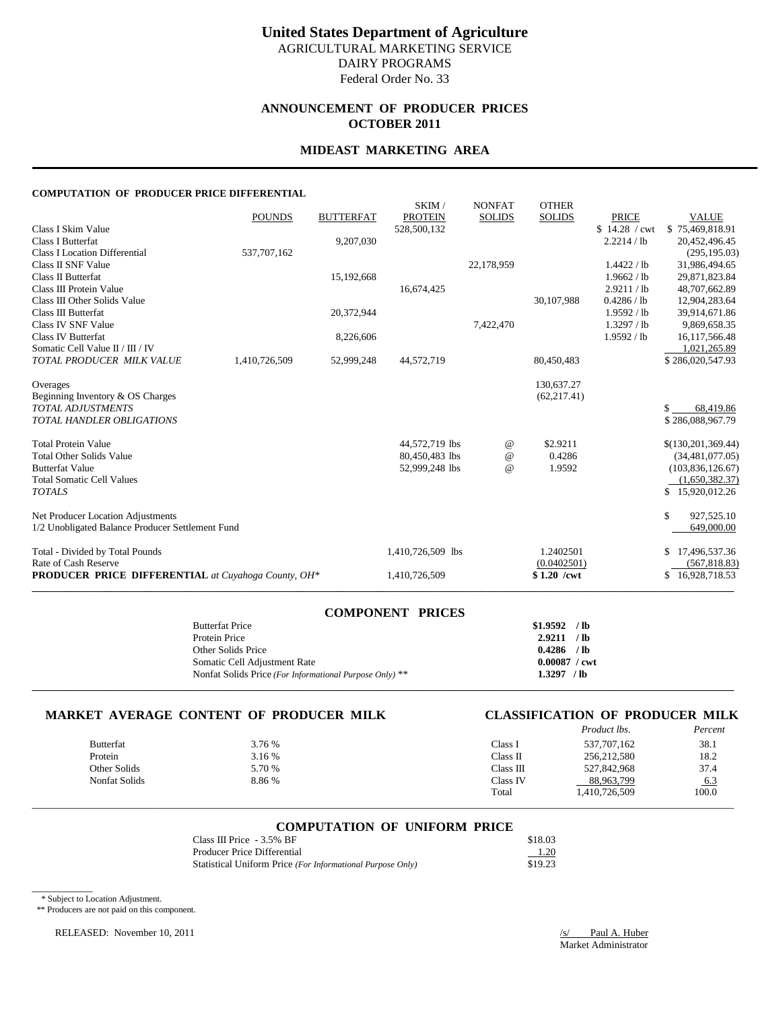# **ANNOUNCEMENT OF PRODUCER PRICES OCTOBER 2011**

### **MIDEAST MARKETING AREA**

#### **COMPUTATION OF PRODUCER PRICE DIFFERENTIAL**

|                                                     | <b>POUNDS</b> | <b>BUTTERFAT</b> | SKIM/<br><b>PROTEIN</b> | <b>NONFAT</b><br><b>SOLIDS</b> | <b>OTHER</b><br><b>SOLIDS</b> | <b>PRICE</b>  | <b>VALUE</b>         |
|-----------------------------------------------------|---------------|------------------|-------------------------|--------------------------------|-------------------------------|---------------|----------------------|
| Class I Skim Value                                  |               |                  | 528,500,132             |                                |                               | \$14.28 / cwt | \$75,469,818.91      |
| Class I Butterfat                                   |               | 9,207,030        |                         |                                |                               | 2.2214 / lb   | 20,452,496.45        |
| <b>Class I Location Differential</b>                | 537,707,162   |                  |                         |                                |                               |               | (295, 195.03)        |
| Class II SNF Value                                  |               |                  |                         | 22,178,959                     |                               | 1.4422 / lb   | 31,986,494.65        |
| Class II Butterfat                                  |               | 15,192,668       |                         |                                |                               | 1.9662 / lb   | 29,871,823.84        |
| Class III Protein Value                             |               |                  | 16,674,425              |                                |                               | 2.9211 / lb   | 48,707,662.89        |
| Class III Other Solids Value                        |               |                  |                         |                                | 30,107,988                    | 0.4286 / lb   | 12,904,283.64        |
| Class III Butterfat                                 |               | 20,372,944       |                         |                                |                               | 1.9592 / lb   | 39,914,671.86        |
| Class IV SNF Value                                  |               |                  |                         | 7,422,470                      |                               | 1.3297 / lb   | 9,869,658.35         |
| Class IV Butterfat                                  |               | 8,226,606        |                         |                                |                               | 1.9592 / lb   | 16,117,566.48        |
| Somatic Cell Value II / III / IV                    |               |                  |                         |                                |                               |               | 1,021,265.89         |
| TOTAL PRODUCER MILK VALUE                           | 1,410,726,509 | 52,999,248       | 44,572,719              |                                | 80,450,483                    |               | \$286,020,547.93     |
| Overages                                            |               |                  |                         |                                | 130,637.27                    |               |                      |
| Beginning Inventory & OS Charges                    |               |                  |                         |                                | (62, 217.41)                  |               |                      |
| <b>TOTAL ADJUSTMENTS</b>                            |               |                  |                         |                                |                               |               | 68,419.86<br>\$.     |
| <b>TOTAL HANDLER OBLIGATIONS</b>                    |               |                  |                         |                                |                               |               | \$286,088,967.79     |
| <b>Total Protein Value</b>                          |               |                  | 44,572,719 lbs          | $^{\,a}$                       | \$2.9211                      |               | \$(130, 201, 369.44) |
| <b>Total Other Solids Value</b>                     |               |                  | 80,450,483 lbs          | $^{\circ}$                     | 0.4286                        |               | (34, 481, 077.05)    |
| <b>Butterfat Value</b>                              |               |                  | 52,999,248 lbs          | $^{\omega}{}$                  | 1.9592                        |               | (103,836,126.67)     |
| <b>Total Somatic Cell Values</b>                    |               |                  |                         |                                |                               |               | (1,650,382.37)       |
| <b>TOTALS</b>                                       |               |                  |                         |                                |                               |               | \$15,920,012.26      |
| Net Producer Location Adjustments                   |               |                  |                         |                                |                               |               | \$<br>927,525.10     |
| 1/2 Unobligated Balance Producer Settlement Fund    |               |                  |                         |                                |                               |               | 649,000.00           |
| Total - Divided by Total Pounds                     |               |                  | 1,410,726,509 lbs       |                                | 1.2402501                     |               | 17,496,537.36        |
| Rate of Cash Reserve                                |               |                  |                         |                                | (0.0402501)                   |               | (567, 818.83)        |
| PRODUCER PRICE DIFFERENTIAL at Cuyahoga County, OH* |               |                  | 1,410,726,509           |                                | $$1.20$ /cwt                  |               | \$16,928,718.53      |
|                                                     |               |                  |                         |                                |                               |               |                      |

| <b>COMPONENT PRICES</b>                                 |                        |  |
|---------------------------------------------------------|------------------------|--|
| <b>Butterfat Price</b>                                  | $$1.9592$ /lb          |  |
| Protein Price                                           | 2.9211 / lb            |  |
| Other Solids Price                                      | $0.4286$ /lb           |  |
| Somatic Cell Adjustment Rate                            | $0.00087 / \text{cwt}$ |  |
| Nonfat Solids Price (For Informational Purpose Only) ** | $1.3297$ /lb           |  |
|                                                         |                        |  |

# **MARKET AVERAGE CONTENT OF PRODUCER MILK CLASSIFICATION OF PRODUCER MILK**

|               |        |           | <i>Product lbs.</i> | Percent |
|---------------|--------|-----------|---------------------|---------|
| Butterfat     | 3.76 % | Class 1   | 537, 707, 162       | 38.1    |
| Protein       | 3.16 % | Class II  | 256, 212, 580       | 18.2    |
| Other Solids  | 5.70 % | Class III | 527,842,968         | 37.4    |
| Nonfat Solids | 8.86 % | Class IV  | 88,963,799          | 6.3     |
|               |        | Total     | 1,410,726,509       | 100.0   |

# \_\_\_\_\_\_\_\_\_\_\_\_\_\_\_\_\_\_\_\_\_\_\_\_\_\_\_\_\_\_\_\_\_\_\_\_\_\_\_\_\_\_\_\_\_\_\_\_\_\_\_\_\_\_\_\_\_\_\_\_\_\_\_\_\_\_\_\_\_\_\_\_\_\_\_\_\_\_\_\_\_\_\_\_\_\_\_\_\_\_\_\_\_\_\_\_\_\_\_\_\_\_\_\_\_\_\_\_\_\_\_\_\_\_\_\_\_\_\_\_\_\_\_\_\_\_\_\_\_\_\_\_\_\_\_\_\_\_\_ **COMPUTATION OF UNIFORM PRICE**

| Class III Price - 3.5% BF                                  | \$18.03 |
|------------------------------------------------------------|---------|
| Producer Price Differential                                | 1.20    |
| Statistical Uniform Price (For Informational Purpose Only) | \$19.23 |

\* Subject to Location Adjustment.

 $\overline{\phantom{a}}$ 

\*\* Producers are not paid on this component.

RELEASED: November 10, 2011 */s/* Paul A. Huber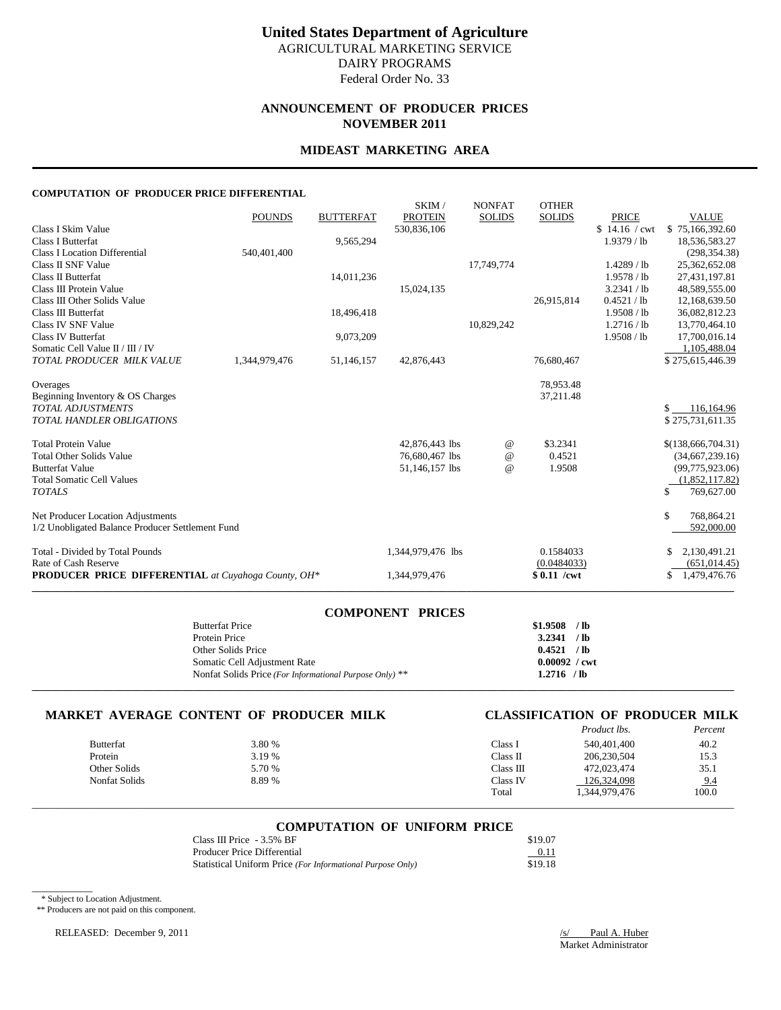# **ANNOUNCEMENT OF PRODUCER PRICES NOVEMBER 2011**

# **MIDEAST MARKETING AREA**

#### **COMPUTATION OF PRODUCER PRICE DIFFERENTIAL**

|                                                            |               |                  | SKIM/             | <b>NONFAT</b>   | <b>OTHER</b>  |               |                    |
|------------------------------------------------------------|---------------|------------------|-------------------|-----------------|---------------|---------------|--------------------|
|                                                            | <b>POUNDS</b> | <b>BUTTERFAT</b> | <b>PROTEIN</b>    | <b>SOLIDS</b>   | <b>SOLIDS</b> | <b>PRICE</b>  | <b>VALUE</b>       |
| Class I Skim Value                                         |               |                  | 530,836,106       |                 |               | \$14.16 / cwt | \$75,166,392.60    |
| <b>Class I Butterfat</b>                                   |               | 9,565,294        |                   |                 |               | $1.9379$ / lb | 18,536,583.27      |
| <b>Class I Location Differential</b>                       | 540,401,400   |                  |                   |                 |               |               | (298, 354.38)      |
| Class II SNF Value                                         |               |                  |                   | 17,749,774      |               | $1.4289$ / lb | 25,362,652.08      |
| Class II Butterfat                                         |               | 14,011,236       |                   |                 |               | 1.9578 / lb   | 27,431,197.81      |
| Class III Protein Value                                    |               |                  | 15,024,135        |                 |               | 3.2341 / lb   | 48,589,555.00      |
| Class III Other Solids Value                               |               |                  |                   |                 | 26,915,814    | 0.4521 / lb   | 12,168,639.50      |
| Class III Butterfat                                        |               | 18,496,418       |                   |                 |               | 1.9508 / lb   | 36,082,812.23      |
| Class IV SNF Value                                         |               |                  |                   | 10,829,242      |               | 1.2716 / lb   | 13,770,464.10      |
| Class IV Butterfat                                         |               | 9,073,209        |                   |                 |               | 1.9508 / lb   | 17,700,016.14      |
| Somatic Cell Value II / III / IV                           |               |                  |                   |                 |               |               | 1,105,488.04       |
| TOTAL PRODUCER MILK VALUE                                  | 1,344,979,476 | 51,146,157       | 42,876,443        |                 | 76,680,467    |               | \$275,615,446.39   |
| Overages                                                   |               |                  |                   |                 | 78,953.48     |               |                    |
| Beginning Inventory & OS Charges                           |               |                  |                   |                 | 37,211.48     |               |                    |
| <b>TOTAL ADJUSTMENTS</b>                                   |               |                  |                   |                 |               |               | \$<br>116,164.96   |
| <b>TOTAL HANDLER OBLIGATIONS</b>                           |               |                  |                   |                 |               |               | \$275,731,611.35   |
| <b>Total Protein Value</b>                                 |               |                  | 42,876,443 lbs    | $^{\,a}$        | \$3.2341      |               | \$(138,666,704.31) |
| <b>Total Other Solids Value</b>                            |               |                  | 76,680,467 lbs    | $^{\copyright}$ | 0.4521        |               | (34,667,239.16)    |
| <b>Butterfat Value</b>                                     |               |                  | 51,146,157 lbs    | $\omega$        | 1.9508        |               | (99,775,923.06)    |
| <b>Total Somatic Cell Values</b>                           |               |                  |                   |                 |               |               | (1,852,117.82)     |
| <b>TOTALS</b>                                              |               |                  |                   |                 |               |               | 769,627.00<br>\$   |
| Net Producer Location Adjustments                          |               |                  |                   |                 |               |               | \$<br>768,864.21   |
| 1/2 Unobligated Balance Producer Settlement Fund           |               |                  |                   |                 |               |               | 592,000.00         |
| Total - Divided by Total Pounds                            |               |                  | 1,344,979,476 lbs |                 | 0.1584033     |               | 2,130,491.21       |
| Rate of Cash Reserve                                       |               |                  |                   |                 | (0.0484033)   |               | (651, 014.45)      |
| <b>PRODUCER PRICE DIFFERENTIAL</b> at Cuyahoga County, OH* |               |                  | 1,344,979,476     |                 | $$0.11$ /cwt  |               | 1,479,476.76<br>\$ |
|                                                            |               |                  |                   |                 |               |               |                    |

| <b>COMPONENT PRICES</b>                                 |                        |  |
|---------------------------------------------------------|------------------------|--|
| <b>Butterfat Price</b>                                  | $$1.9508$ /lb          |  |
| Protein Price                                           | 3.2341 / lb            |  |
| Other Solids Price                                      | 0.4521 / lb            |  |
| Somatic Cell Adjustment Rate                            | $0.00092 / \text{cwt}$ |  |
| Nonfat Solids Price (For Informational Purpose Only) ** | $1.2716$ /lb           |  |
|                                                         |                        |  |

# **MARKET AVERAGE CONTENT OF PRODUCER MILK**

| CLASSIFICATION OF PRODUCER MILK |                    |  |         |
|---------------------------------|--------------------|--|---------|
|                                 | <i>Product lbs</i> |  | Percent |

|                  |        |                   | 11000000000   | $1$ cream |
|------------------|--------|-------------------|---------------|-----------|
| <b>Butterfat</b> | 3.80 % | $\lceil$ lass $l$ | 540,401,400   | 40.2      |
| Protein          | 3.19 % | Class II          | 206,230,504   | 15.3      |
| Other Solids     | 5.70 % | Class III         | 472,023,474   | 35.1      |
| Nonfat Solids    | 8.89 % | Class IV          | 126.324.098   | 9.4       |
|                  |        | Total             | 1.344.979.476 | 100.0     |
|                  |        |                   |               |           |

# \_\_\_\_\_\_\_\_\_\_\_\_\_\_\_\_\_\_\_\_\_\_\_\_\_\_\_\_\_\_\_\_\_\_\_\_\_\_\_\_\_\_\_\_\_\_\_\_\_\_\_\_\_\_\_\_\_\_\_\_\_\_\_\_\_\_\_\_\_\_\_\_\_\_\_\_\_\_\_\_\_\_\_\_\_\_\_\_\_\_\_\_\_\_\_\_\_\_\_\_\_\_\_\_\_\_\_\_\_\_\_\_\_\_\_\_\_\_\_\_\_\_\_\_\_\_\_\_\_\_\_\_\_\_\_\_\_\_\_ **COMPUTATION OF UNIFORM PRICE**

| Class III Price - 3.5% BF                                  | \$19.07 |
|------------------------------------------------------------|---------|
| <b>Producer Price Differential</b>                         | 0.11    |
| Statistical Uniform Price (For Informational Purpose Only) | \$19.18 |

\* Subject to Location Adjustment.

 $\overline{\phantom{a}}$ 

\*\* Producers are not paid on this component.

RELEASED: December 9, 2011 */s/* Paul A. Huber